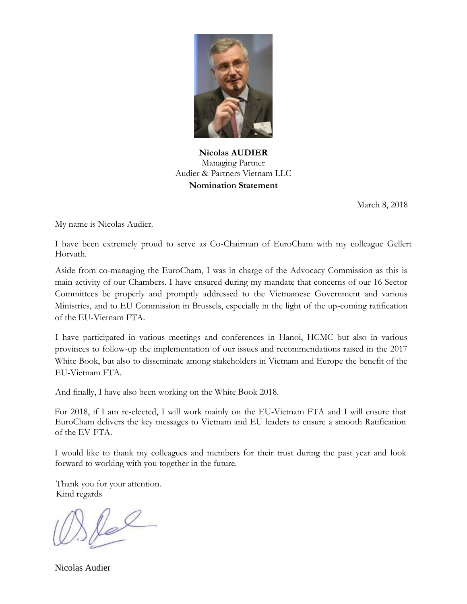

**Nicolas AUDIER** Managing Partner Audier & Partners Vietnam LLC **Nomination Statement**

March 8, 2018

My name is Nicolas Audier.

I have been extremely proud to serve as Co-Chairman of EuroCham with my colleague Gellert Horvath.

Aside from co-managing the EuroCham, I was in charge of the Advocacy Commission as this is main activity of our Chambers. I have ensured during my mandate that concerns of our 16 Sector Committees be properly and promptly addressed to the Vietnamese Government and various Ministries, and to EU Commission in Brussels, especially in the light of the up-coming ratification of the EU-Vietnam FTA.

I have participated in various meetings and conferences in Hanoi, HCMC but also in various provinces to follow-up the implementation of our issues and recommendations raised in the 2017 White Book, but also to disseminate among stakeholders in Vietnam and Europe the benefit of the EU-Vietnam FTA.

And finally, I have also been working on the White Book 2018.

For 2018, if I am re-elected, I will work mainly on the EU-Vietnam FTA and I will ensure that EuroCham delivers the key messages to Vietnam and EU leaders to ensure a smooth Ratification of the EV-FTA.

I would like to thank my colleagues and members for their trust during the past year and look forward to working with you together in the future.

Thank you for your attention. Kind regards

lel

Nicolas Audier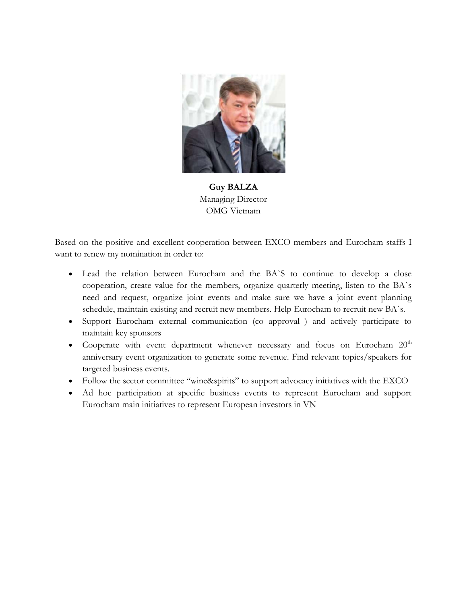

**Guy BALZA** Managing Director OMG Vietnam

Based on the positive and excellent cooperation between EXCO members and Eurocham staffs I want to renew my nomination in order to:

- Lead the relation between Eurocham and the BA`S to continue to develop a close cooperation, create value for the members, organize quarterly meeting, listen to the BA`s need and request, organize joint events and make sure we have a joint event planning schedule, maintain existing and recruit new members. Help Eurocham to recruit new BA`s.
- Support Eurocham external communication (co approval ) and actively participate to maintain key sponsors
- Cooperate with event department whenever necessary and focus on Eurocham  $20<sup>th</sup>$ anniversary event organization to generate some revenue. Find relevant topics/speakers for targeted business events.
- Follow the sector committee "wine&spirits" to support advocacy initiatives with the EXCO
- Ad hoc participation at specific business events to represent Eurocham and support Eurocham main initiatives to represent European investors in VN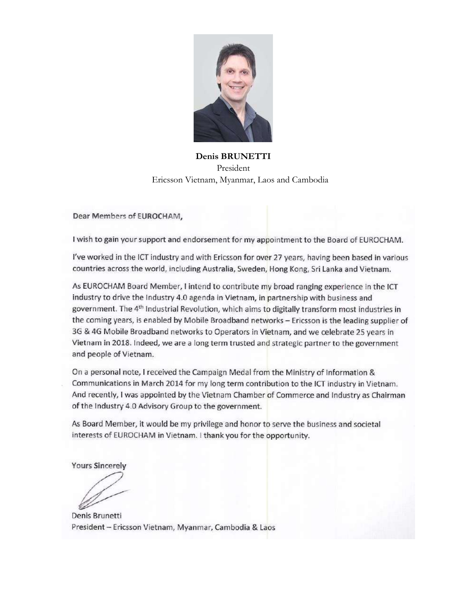

**Denis BRUNETTI** President Ericsson Vietnam, Myanmar, Laos and Cambodia

Dear Members of EUROCHAM,

I wish to gain your support and endorsement for my appointment to the Board of EUROCHAM.

I've worked in the ICT industry and with Ericsson for over 27 years, having been based in various countries across the world, including Australia, Sweden, Hong Kong, Sri Lanka and Vietnam.

As EUROCHAM Board Member, I intend to contribute my broad ranging experience in the ICT industry to drive the Industry 4.0 agenda in Vietnam, in partnership with business and government. The 4<sup>th</sup> Industrial Revolution, which aims to digitally transform most industries in the coming years, is enabled by Mobile Broadband networks - Ericsson is the leading supplier of 3G & 4G Mobile Broadband networks to Operators in Vietnam, and we celebrate 25 years in Vietnam in 2018. Indeed, we are a long term trusted and strategic partner to the government and people of Vietnam.

On a personal note, I received the Campaign Medal from the Ministry of Information & Communications in March 2014 for my long term contribution to the ICT industry in Vietnam. And recently, I was appointed by the Vietnam Chamber of Commerce and Industry as Chairman of the Industry 4.0 Advisory Group to the government.

As Board Member, it would be my privilege and honor to serve the business and societal interests of EUROCHAM in Vietnam. I thank you for the opportunity.

**Yours Sincerely** 

Denis Brunetti President - Ericsson Vietnam, Myanmar, Cambodia & Laos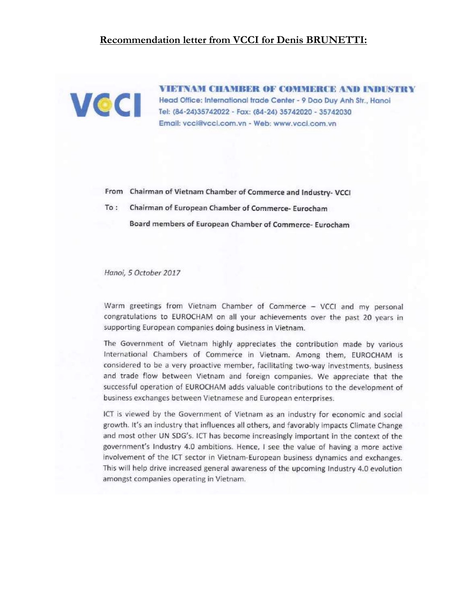#### **Recommendation letter from VCCI for Denis BRUNETTI:**



**VIETNAM CHAMBER OF COMMERCE AND INDUSTRY** Head Office: International trade Center - 9 Dao Duy Anh Str., Hanoi Tel: (84-24)35742022 - Fax: (84-24) 35742020 - 35742030 Email: vcci@vcci.com.vn - Web: www.vcci.com.vn

From Chairman of Vietnam Chamber of Commerce and Industry- VCCI

 $To:$ Chairman of European Chamber of Commerce- Eurocham

Board members of European Chamber of Commerce-Eurocham

Hanoi, 5 October 2017

Warm greetings from Vietnam Chamber of Commerce - VCCI and my personal congratulations to EUROCHAM on all your achievements over the past 20 years in supporting European companies doing business in Vietnam.

The Government of Vietnam highly appreciates the contribution made by various International Chambers of Commerce in Vietnam. Among them, EUROCHAM is considered to be a very proactive member, facilitating two-way investments, business and trade flow between Vietnam and foreign companies. We appreciate that the successful operation of EUROCHAM adds valuable contributions to the development of business exchanges between Vietnamese and European enterprises.

ICT is viewed by the Government of Vietnam as an industry for economic and social growth. It's an industry that influences all others, and favorably impacts Climate Change and most other UN SDG's. ICT has become increasingly important in the context of the government's Industry 4.0 ambitions. Hence, I see the value of having a more active involvement of the ICT sector in Vietnam-European business dynamics and exchanges. This will help drive increased general awareness of the upcoming Industry 4.0 evolution amongst companies operating in Vietnam.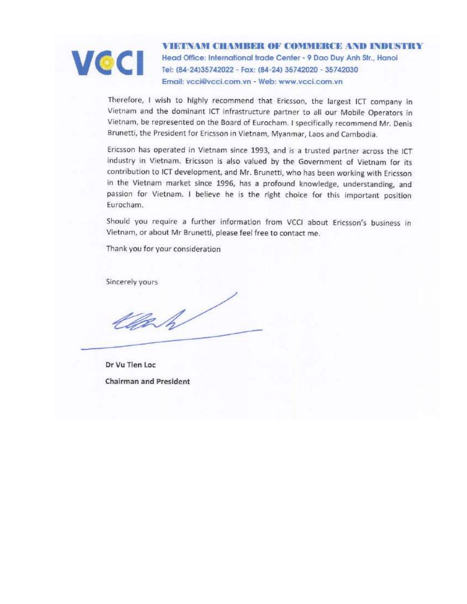

**VIETNAM CHAMBER OF COMMERCE AND INDUSTRY** Head Office: International trade Center - 9 Dao Duy Anh Str., Hanoi Tel: (84-24)35742022 - Fax: (84-24) 35742020 - 35742030 Email: vcci@vcci.com.vn - Web: www.vcci.com.vn

Therefore, I wish to highly recommend that Ericsson, the largest ICT company in Vietnam and the dominant ICT infrastructure partner to all our Mobile Operators in Vietnam, be represented on the Board of Eurocham. I specifically recommend Mr. Denis Brunetti, the President for Ericsson in Vietnam, Myanmar, Laos and Cambodia.

Ericsson has operated in Vietnam since 1993, and is a trusted partner across the ICT industry in Vietnam. Ericsson is also valued by the Government of Vietnam for its contribution to ICT development, and Mr. Brunetti, who has been working with Ericsson in the Vietnam market since 1996, has a profound knowledge, understanding, and passion for Vietnam. I believe he is the right choice for this important position Eurocham.

Should you require a further information from VCCI about Ericsson's business in Vietnam, or about Mr Brunetti, please feel free to contact me.

Thank you for your consideration

Sincerely yours

Clark

Dr Vu Tien Loc **Chairman and President**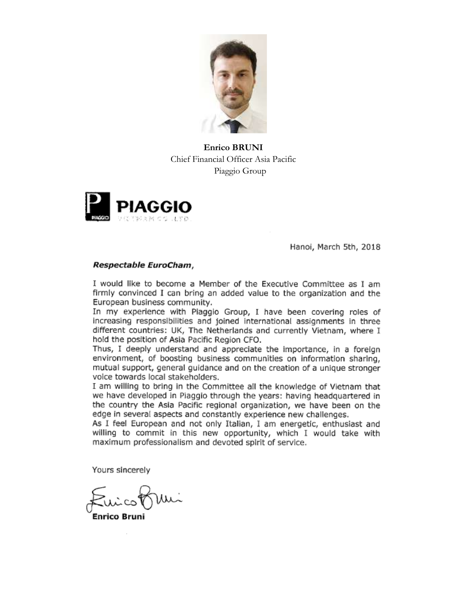

**Enrico BRUNI** Chief Financial Officer Asia Pacific Piaggio Group



Hanoi, March 5th, 2018

#### Respectable EuroCham,

I would like to become a Member of the Executive Committee as I am firmly convinced I can bring an added value to the organization and the European business community.

In my experience with Piaggio Group, I have been covering roles of increasing responsibilities and joined international assignments in three different countries: UK, The Netherlands and currently Vietnam, where I hold the position of Asia Pacific Region CFO.

Thus, I deeply understand and appreciate the importance, in a foreign environment, of boosting business communities on information sharing, mutual support, general quidance and on the creation of a unique stronger voice towards local stakeholders.

I am willing to bring in the Committee all the knowledge of Vietnam that we have developed in Piaggio through the years: having headquartered in the country the Asia Pacific regional organization, we have been on the edge in several aspects and constantly experience new challenges.

As I feel European and not only Italian, I am energetic, enthusiast and willing to commit in this new opportunity, which I would take with maximum professionalism and devoted spirit of service.

Yours sincerely

Enrico Bruni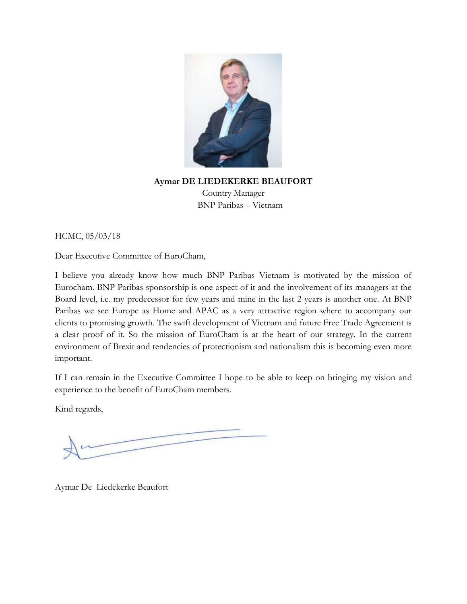

# **Aymar DE LIEDEKERKE BEAUFORT** Country Manager BNP Paribas – Vietnam

HCMC, 05/03/18

Dear Executive Committee of EuroCham,

I believe you already know how much BNP Paribas Vietnam is motivated by the mission of Eurocham. BNP Paribas sponsorship is one aspect of it and the involvement of its managers at the Board level, i.e. my predecessor for few years and mine in the last 2 years is another one. At BNP Paribas we see Europe as Home and APAC as a very attractive region where to accompany our clients to promising growth. The swift development of Vietnam and future Free Trade Agreement is a clear proof of it. So the mission of EuroCham is at the heart of our strategy. In the current environment of Brexit and tendencies of protectionism and nationalism this is becoming even more important.

If I can remain in the Executive Committee I hope to be able to keep on bringing my vision and experience to the benefit of EuroCham members.

Kind regards,

Aymar De Liedekerke Beaufort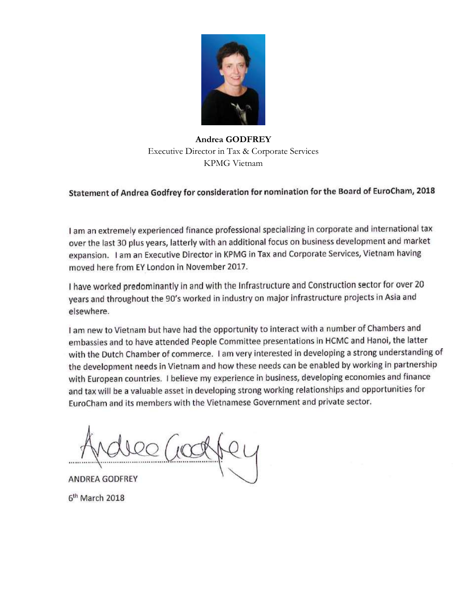

**Andrea GODFREY** Executive Director in Tax & Corporate Services KPMG Vietnam

# Statement of Andrea Godfrey for consideration for nomination for the Board of EuroCham, 2018

I am an extremely experienced finance professional specializing in corporate and international tax over the last 30 plus years, latterly with an additional focus on business development and market expansion. I am an Executive Director in KPMG in Tax and Corporate Services, Vietnam having moved here from EY London in November 2017.

I have worked predominantly in and with the Infrastructure and Construction sector for over 20 years and throughout the 90's worked in industry on major infrastructure projects in Asia and elsewhere.

I am new to Vietnam but have had the opportunity to interact with a number of Chambers and embassies and to have attended People Committee presentations in HCMC and Hanoi, the latter with the Dutch Chamber of commerce. I am very interested in developing a strong understanding of the development needs in Vietnam and how these needs can be enabled by working in partnership with European countries. I believe my experience in business, developing economies and finance and tax will be a valuable asset in developing strong working relationships and opportunities for EuroCham and its members with the Vietnamese Government and private sector.

ANDREA GODFREY 6<sup>th</sup> March 2018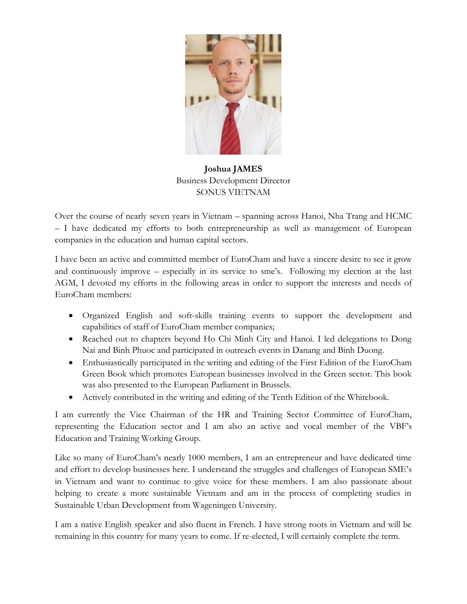

**Joshua JAMES** Business Development Director SONUS VIETNAM

Over the course of nearly seven years in Vietnam – spanning across Hanoi, Nha Trang and HCMC – I have dedicated my efforts to both entrepreneurship as well as management of European companies in the education and human capital sectors.

I have been an active and committed member of EuroCham and have a sincere desire to see it grow and continuously improve – especially in its service to sme's. Following my election at the last AGM, I devoted my efforts in the following areas in order to support the interests and needs of EuroCham members:

- Organized English and soft-skills training events to support the development and capabilities of staff of EuroCham member companies;
- Reached out to chapters beyond Ho Chi Minh City and Hanoi. I led delegations to Dong Nai and Binh Phuoc and participated in outreach events in Danang and Binh Duong.
- Enthusiastically participated in the writing and editing of the First Edition of the EuroCham Green Book which promotes European businesses involved in the Green sector. This book was also presented to the European Parliament in Brussels.
- Actively contributed in the writing and editing of the Tenth Edition of the Whitebook.

I am currently the Vice Chairman of the HR and Training Sector Committee of EuroCham, representing the Education sector and I am also an active and vocal member of the VBF's Education and Training Working Group.

Like so many of EuroCham's nearly 1000 members, I am an entrepreneur and have dedicated time and effort to develop businesses here. I understand the struggles and challenges of European SME's in Vietnam and want to continue to give voice for these members. I am also passionate about helping to create a more sustainable Vietnam and am in the process of completing studies in Sustainable Urban Development from Wageningen University.

I am a native English speaker and also fluent in French. I have strong roots in Vietnam and will be remaining in this country for many years to come. If re-elected, I will certainly complete the term.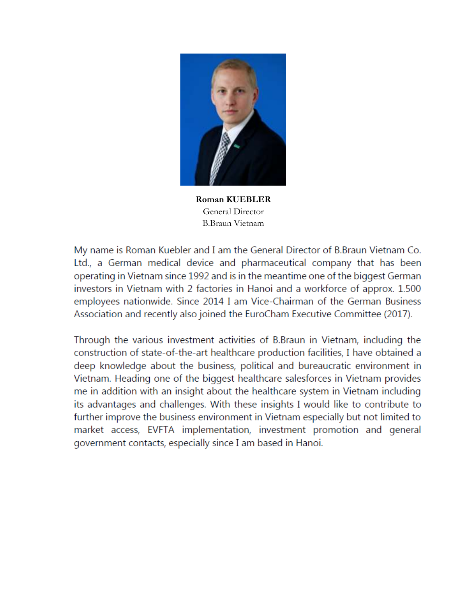

**Roman KUEBLER** General Director B.Braun Vietnam

My name is Roman Kuebler and I am the General Director of B.Braun Vietnam Co. Ltd., a German medical device and pharmaceutical company that has been operating in Vietnam since 1992 and is in the meantime one of the biggest German investors in Vietnam with 2 factories in Hanoi and a workforce of approx. 1.500 employees nationwide. Since 2014 I am Vice-Chairman of the German Business Association and recently also joined the EuroCham Executive Committee (2017).

Through the various investment activities of B.Braun in Vietnam, including the construction of state-of-the-art healthcare production facilities, I have obtained a deep knowledge about the business, political and bureaucratic environment in Vietnam. Heading one of the biggest healthcare salesforces in Vietnam provides me in addition with an insight about the healthcare system in Vietnam including its advantages and challenges. With these insights I would like to contribute to further improve the business environment in Vietnam especially but not limited to market access, EVFTA implementation, investment promotion and general government contacts, especially since I am based in Hanoi.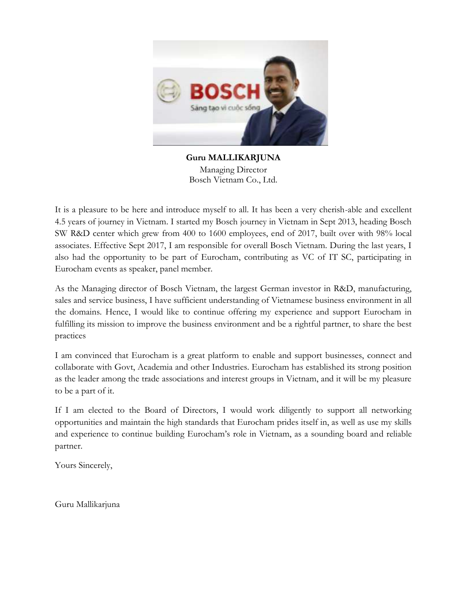

**Guru MALLIKARJUNA** Managing Director Bosch Vietnam Co., Ltd.

It is a pleasure to be here and introduce myself to all. It has been a very cherish-able and excellent 4.5 years of journey in Vietnam. I started my Bosch journey in Vietnam in Sept 2013, heading Bosch SW R&D center which grew from 400 to 1600 employees, end of 2017, built over with 98% local associates. Effective Sept 2017, I am responsible for overall Bosch Vietnam. During the last years, I also had the opportunity to be part of Eurocham, contributing as VC of IT SC, participating in Eurocham events as speaker, panel member.

As the Managing director of Bosch Vietnam, the largest German investor in R&D, manufacturing, sales and service business, I have sufficient understanding of Vietnamese business environment in all the domains. Hence, I would like to continue offering my experience and support Eurocham in fulfilling its mission to improve the business environment and be a rightful partner, to share the best practices

I am convinced that Eurocham is a great platform to enable and support businesses, connect and collaborate with Govt, Academia and other Industries. Eurocham has established its strong position as the leader among the trade associations and interest groups in Vietnam, and it will be my pleasure to be a part of it.

If I am elected to the Board of Directors, I would work diligently to support all networking opportunities and maintain the high standards that Eurocham prides itself in, as well as use my skills and experience to continue building Eurocham's role in Vietnam, as a sounding board and reliable partner.

Yours Sincerely,

Guru Mallikarjuna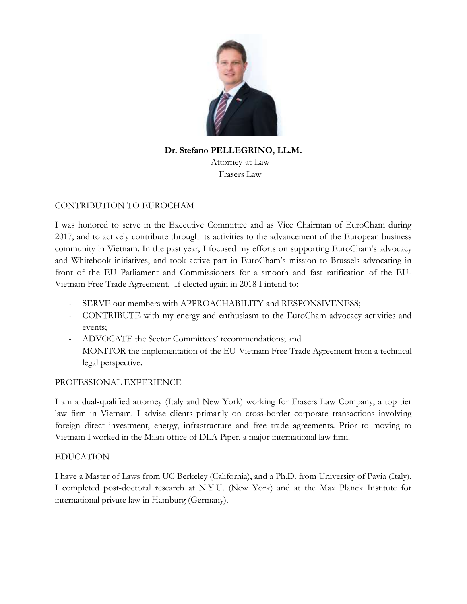

**Dr. Stefano PELLEGRINO, LL.M.** Attorney-at-Law Frasers Law

### CONTRIBUTION TO EUROCHAM

I was honored to serve in the Executive Committee and as Vice Chairman of EuroCham during 2017, and to actively contribute through its activities to the advancement of the European business community in Vietnam. In the past year, I focused my efforts on supporting EuroCham's advocacy and Whitebook initiatives, and took active part in EuroCham's mission to Brussels advocating in front of the EU Parliament and Commissioners for a smooth and fast ratification of the EU-Vietnam Free Trade Agreement. If elected again in 2018 I intend to:

- SERVE our members with APPROACHABILITY and RESPONSIVENESS;
- CONTRIBUTE with my energy and enthusiasm to the EuroCham advocacy activities and events;
- ADVOCATE the Sector Committees' recommendations; and
- MONITOR the implementation of the EU-Vietnam Free Trade Agreement from a technical legal perspective.

#### PROFESSIONAL EXPERIENCE

I am a dual-qualified attorney (Italy and New York) working for Frasers Law Company, a top tier law firm in Vietnam. I advise clients primarily on cross-border corporate transactions involving foreign direct investment, energy, infrastructure and free trade agreements. Prior to moving to Vietnam I worked in the Milan office of DLA Piper, a major international law firm.

#### EDUCATION

I have a Master of Laws from UC Berkeley (California), and a Ph.D. from University of Pavia (Italy). I completed post-doctoral research at N.Y.U. (New York) and at the Max Planck Institute for international private law in Hamburg (Germany).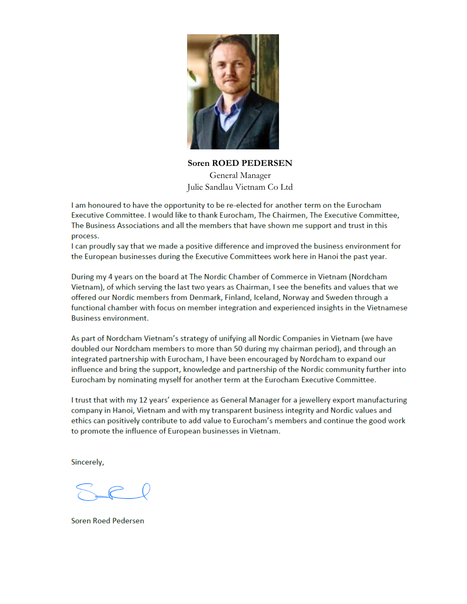

**Soren ROED PEDERSEN** General Manager Julie Sandlau Vietnam Co Ltd

I am honoured to have the opportunity to be re-elected for another term on the Eurocham Executive Committee. I would like to thank Eurocham, The Chairmen, The Executive Committee, The Business Associations and all the members that have shown me support and trust in this process.

I can proudly say that we made a positive difference and improved the business environment for the European businesses during the Executive Committees work here in Hanoi the past year.

During my 4 years on the board at The Nordic Chamber of Commerce in Vietnam (Nordcham Vietnam), of which serving the last two years as Chairman, I see the benefits and values that we offered our Nordic members from Denmark, Finland, Iceland, Norway and Sweden through a functional chamber with focus on member integration and experienced insights in the Vietnamese **Business environment.** 

As part of Nordcham Vietnam's strategy of unifying all Nordic Companies in Vietnam (we have doubled our Nordcham members to more than 50 during my chairman period), and through an integrated partnership with Eurocham, I have been encouraged by Nordcham to expand our influence and bring the support, knowledge and partnership of the Nordic community further into Eurocham by nominating myself for another term at the Eurocham Executive Committee.

I trust that with my 12 years' experience as General Manager for a jewellery export manufacturing company in Hanoi, Vietnam and with my transparent business integrity and Nordic values and ethics can positively contribute to add value to Eurocham's members and continue the good work to promote the influence of European businesses in Vietnam.

Sincerely,

**Soren Roed Pedersen**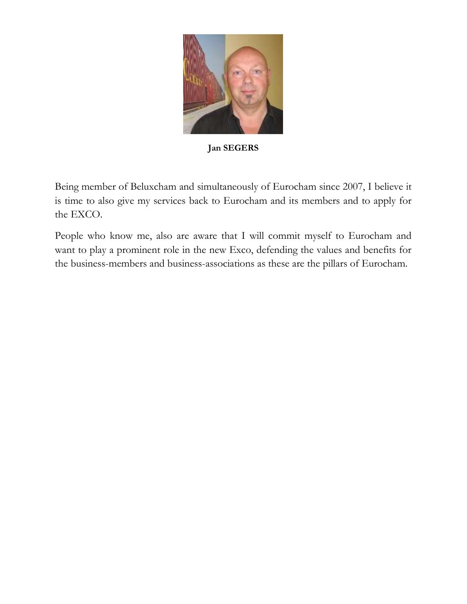

**Jan SEGERS**

Being member of Beluxcham and simultaneously of Eurocham since 2007, I believe it is time to also give my services back to Eurocham and its members and to apply for the EXCO.

People who know me, also are aware that I will commit myself to Eurocham and want to play a prominent role in the new Exco, defending the values and benefits for the business-members and business-associations as these are the pillars of Eurocham.